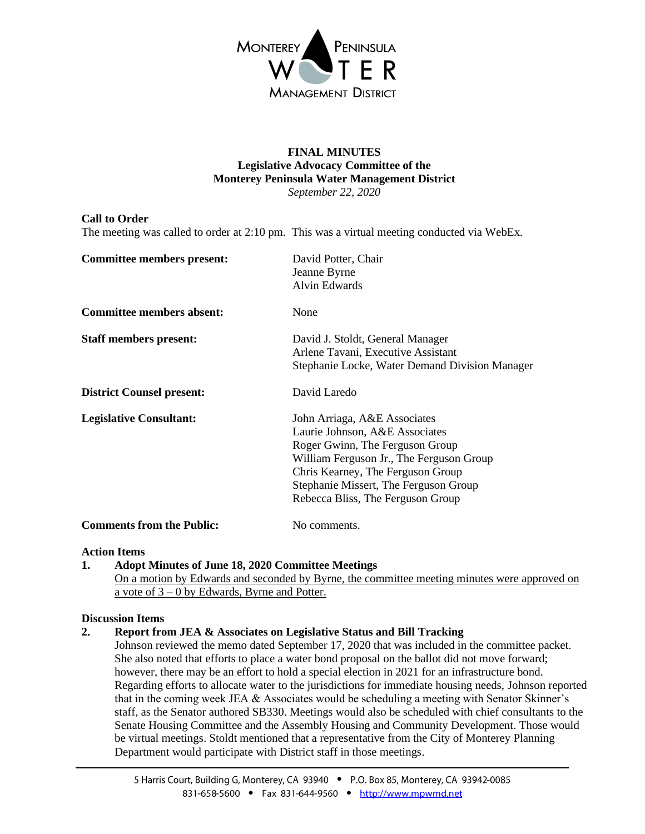

#### **FINAL MINUTES Legislative Advocacy Committee of the Monterey Peninsula Water Management District** *September 22, 2020*

## **Call to Order**

The meeting was called to order at 2:10 pm. This was a virtual meeting conducted via WebEx.

| <b>Committee members present:</b> | David Potter, Chair<br>Jeanne Byrne<br><b>Alvin Edwards</b>                                                                                                                                                                                                      |
|-----------------------------------|------------------------------------------------------------------------------------------------------------------------------------------------------------------------------------------------------------------------------------------------------------------|
| <b>Committee members absent:</b>  | None                                                                                                                                                                                                                                                             |
| <b>Staff members present:</b>     | David J. Stoldt, General Manager<br>Arlene Tavani, Executive Assistant<br>Stephanie Locke, Water Demand Division Manager                                                                                                                                         |
| <b>District Counsel present:</b>  | David Laredo                                                                                                                                                                                                                                                     |
| <b>Legislative Consultant:</b>    | John Arriaga, A&E Associates<br>Laurie Johnson, A&E Associates<br>Roger Gwinn, The Ferguson Group<br>William Ferguson Jr., The Ferguson Group<br>Chris Kearney, The Ferguson Group<br>Stephanie Missert, The Ferguson Group<br>Rebecca Bliss, The Ferguson Group |
| <b>Comments from the Public:</b>  | No comments                                                                                                                                                                                                                                                      |

### **Action Items**

**1. Adopt Minutes of June 18, 2020 Committee Meetings** On a motion by Edwards and seconded by Byrne, the committee meeting minutes were approved on a vote of 3 – 0 by Edwards, Byrne and Potter.

### **Discussion Items**

# **2. Report from JEA & Associates on Legislative Status and Bill Tracking**

Johnson reviewed the memo dated September 17, 2020 that was included in the committee packet. She also noted that efforts to place a water bond proposal on the ballot did not move forward; however, there may be an effort to hold a special election in 2021 for an infrastructure bond. Regarding efforts to allocate water to the jurisdictions for immediate housing needs, Johnson reported that in the coming week JEA & Associates would be scheduling a meeting with Senator Skinner's staff, as the Senator authored SB330. Meetings would also be scheduled with chief consultants to the Senate Housing Committee and the Assembly Housing and Community Development. Those would be virtual meetings. Stoldt mentioned that a representative from the City of Monterey Planning Department would participate with District staff in those meetings.